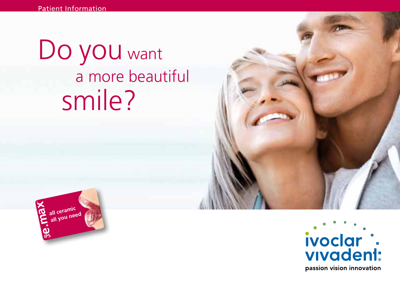## Do you want a more beautiful smile?





passion vision innovation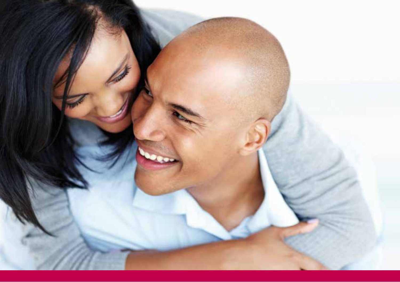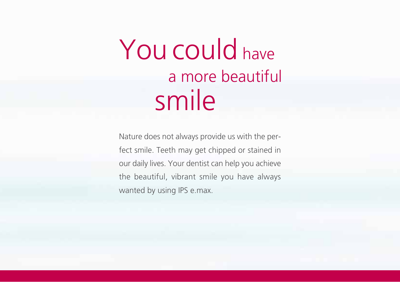## You could have a more beautiful smile

Nature does not always provide us with the perfect smile. Teeth may get chipped or stained in our daily lives. Your dentist can help you achieve the beautiful, vibrant smile you have always wanted by using IPS e.max.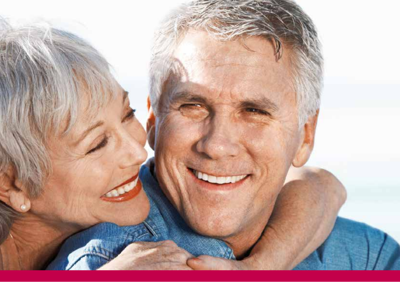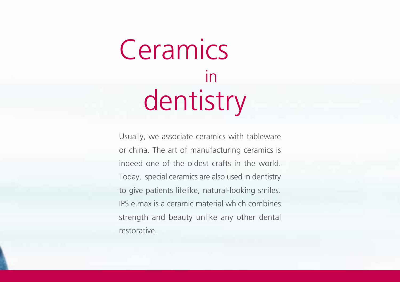# **Ceramics** in a structure in the structure of the structure in the structure of the structure in the structure of the str<br>In the structure of the structure in the structure of the structure of the structure of the structure of the s dentistry

Usually, we associate ceramics with tableware or china. The art of manufacturing ceramics is indeed one of the oldest crafts in the world. Today, special ceramics are also used in dentistry to give patients lifelike, natural-looking smiles. IPS e.max is a ceramic material which combines strength and beauty unlike any other dental restorative.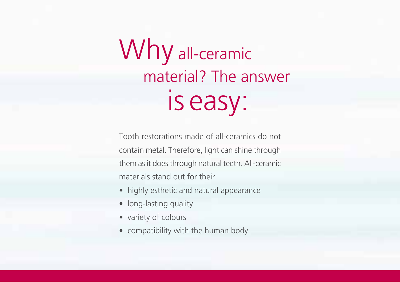## Why all-ceramic material? The answer is easy:

Tooth restorations made of all-ceramics do not contain metal. Therefore, light can shine through them as it does through natural teeth. All-ceramic materials stand out for their

- highly esthetic and natural appearance
- long-lasting quality
- variety of colours
- compatibility with the human body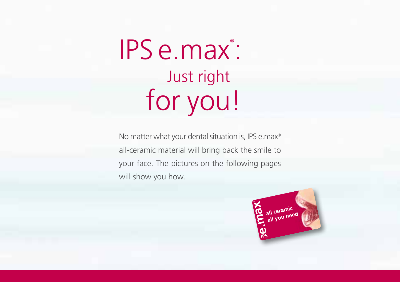IPS e.max<sup>®</sup>: for you!

No matter what your dental situation is, IPS e.max® all-ceramic material will bring back the smile to your face. The pictures on the following pages will show you how.

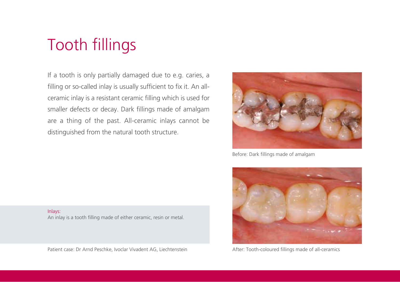### Tooth fillings

If a tooth is only partially damaged due to e.g. caries, a filling or so-called inlay is usually sufficient to fix it. An allceramic inlay is a resistant ceramic filling which is used for smaller defects or decay. Dark fillings made of amalgam are a thing of the past. All-ceramic inlays cannot be distinguished from the natural tooth structure.



Before: Dark fillings made of amalgam



Inlays: An inlay is a tooth filling made of either ceramic, resin or metal.

Patient case: Dr Arnd Peschke, Ivoclar Vivadent AG, Liechtenstein After: Tooth-coloured fillings made of all-ceramics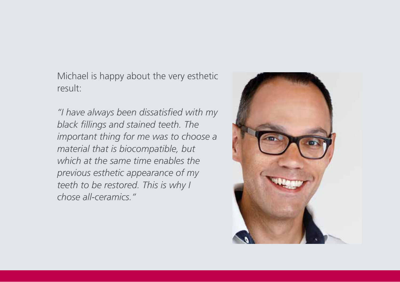Michael is happy about the very esthetic result:

*"I have always been dissatisfied with my black fillings and stained teeth. The important thing for me was to choose a material that is biocompatible, but which at the same time enables the previous esthetic appearance of my teeth to be restored. This is why I chose all-ceramics."*

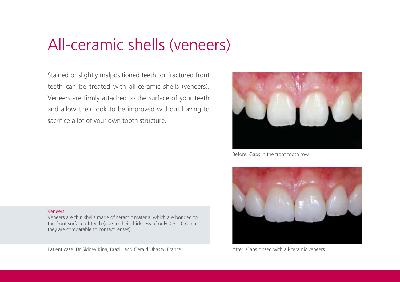### All-ceramic shells (veneers)

Stained or slightly malpositioned teeth, or fractured front teeth can be treated with all-ceramic shells (veneers). Veneers are firmly attached to the surface of your teeth and allow their look to be improved without having to sacrifice a lot of your own tooth structure.



Before: Gaps in the front tooth row



After: Gaps closed with all-ceramic veneers

#### Veneers:

Veneers are thin shells made of ceramic material which are bonded to the front surface of teeth (due to their thickness of only 0.3 – 0.6 mm, they are comparable to contact lenses).

Patient case: Dr Sidney Kina, Brazil, and Gérald Ubassy, France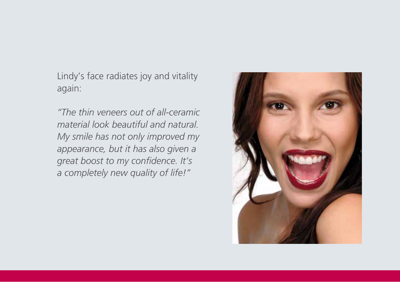Lindy's face radiates joy and vitality again:

*"The thin veneers out of all-ceramic material look beautiful and natural. My smile has not only improved my appearance, but it has also given a great boost to my confidence. It's a completely new quality of life!"*

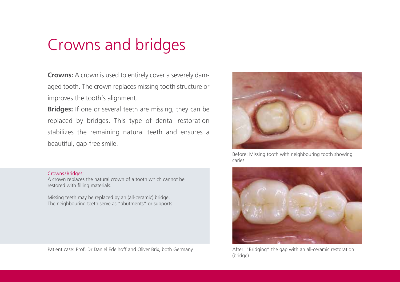### Crowns and bridges

**Crowns:** A crown is used to entirely cover a severely damaged tooth. The crown replaces missing tooth structure or improves the tooth's alignment.

**Bridges:** If one or several teeth are missing, they can be replaced by bridges. This type of dental restoration stabilizes the remaining natural teeth and ensures a beautiful, gap-free smile.

#### Crowns/Bridges:

A crown replaces the natural crown of a tooth which cannot be restored with filling materials.

Missing teeth may be replaced by an (all-ceramic) bridge. The neighbouring teeth serve as "abutments" or supports.





Before: Missing tooth with neighbouring tooth showing caries



After: "Bridging" the gap with an all-ceramic restoration (bridge).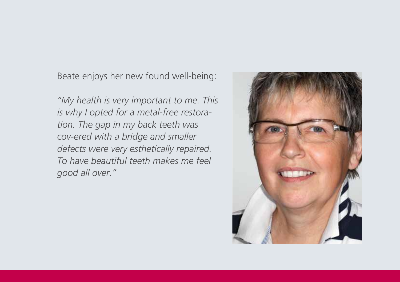Beate enjoys her new found well-being:

*"My health is very important to me. This is why I opted for a metal-free restoration. The gap in my back teeth was cov-ered with a bridge and smaller defects were very esthetically repaired. To have beautiful teeth makes me feel good all over."*

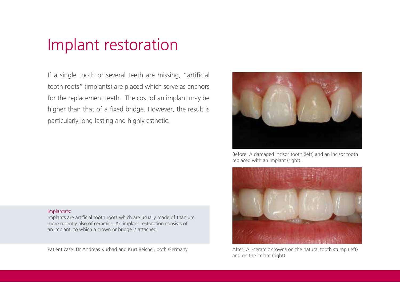### Implant restoration

If a single tooth or several teeth are missing, "artificial tooth roots" (implants) are placed which serve as anchors for the replacement teeth. The cost of an implant may be higher than that of a fixed bridge. However, the result is particularly long-lasting and highly esthetic.

#### Implantats:

Implants are artificial tooth roots which are usually made of titanium, more recently also of ceramics. An implant restoration consists of an implant, to which a crown or bridge is attached.

Patient case: Dr Andreas Kurbad and Kurt Reichel, both Germany



Before: A damaged incisor tooth (left) and an incisor tooth replaced with an implant (right).



After: All-ceramic crowns on the natural tooth stump (left) and on the imlant (right)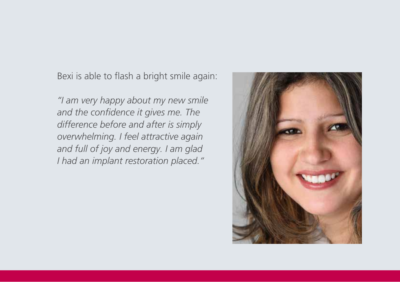Bexi is able to flash a bright smile again:

*"I am very happy about my new smile and the confidence it gives me. The difference before and after is simply overwhelming. I feel attractive again and full of joy and energy. I am glad I had an implant restoration placed."*